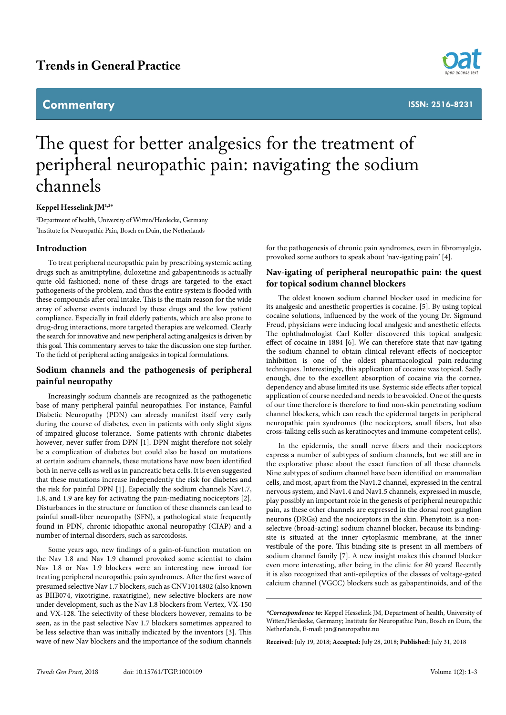# **Trends in General Practice**

# **Commentary**



**ISSN: 2516-8231**

# The quest for better analgesics for the treatment of peripheral neuropathic pain: navigating the sodium channels

#### **Keppel Hesselink JM1,2\***

1 Department of health, University of Witten/Herdecke, Germany 2 Institute for Neuropathic Pain, Bosch en Duin, the Netherlands

#### **Introduction**

To treat peripheral neuropathic pain by prescribing systemic acting drugs such as amitriptyline, duloxetine and gabapentinoids is actually quite old fashioned; none of these drugs are targeted to the exact pathogenesis of the problem, and thus the entire system is flooded with these compounds after oral intake. This is the main reason for the wide array of adverse events induced by these drugs and the low patient compliance. Especially in frail elderly patients, which are also prone to drug-drug interactions, more targeted therapies are welcomed. Clearly the search for innovative and new peripheral acting analgesics is driven by this goal. This commentary serves to take the discussion one step further. To the field of peripheral acting analgesics in topical formulations.

### **Sodium channels and the pathogenesis of peripheral painful neuropathy**

Increasingly sodium channels are recognized as the pathogenetic base of many peripheral painful neuropathies. For instance, Painful Diabetic Neuropathy (PDN) can already manifest itself very early during the course of diabetes, even in patients with only slight signs of impaired glucose tolerance. Some patients with chronic diabetes however, never suffer from DPN [1]. DPN might therefore not solely be a complication of diabetes but could also be based on mutations at certain sodium channels, these mutations have now been identified both in nerve cells as well as in pancreatic beta cells. It is even suggested that these mutations increase independently the risk for diabetes and the risk for painful DPN [1]. Especially the sodium channels Nav1.7, 1.8, and 1.9 are key for activating the pain-mediating nociceptors [2]. Disturbances in the structure or function of these channels can lead to painful small-fiber neuropathy (SFN), a pathological state frequently found in PDN, chronic idiopathic axonal neuropathy (CIAP) and a number of internal disorders, such as sarcoidosis.

Some years ago, new findings of a gain-of-function mutation on the Nav 1.8 and Nav 1.9 channel provoked some scientist to claim Nav 1.8 or Nav 1.9 blockers were an interesting new inroad for treating peripheral neuropathic pain syndromes. After the first wave of presumed selective Nav 1.7 blockers, such as CNV1014802 (also known as BIIB074, vixotrigine, raxatrigine), new selective blockers are now under development, such as the Nav 1.8 blockers from Vertex, VX-150 and VX-128. The selectivity of these blockers however, remains to be seen, as in the past selective Nav 1.7 blockers sometimes appeared to be less selective than was initially indicated by the inventors [3]. This wave of new Nav blockers and the importance of the sodium channels

for the pathogenesis of chronic pain syndromes, even in fibromyalgia, provoked some authors to speak about 'nav-igating pain' [4].

## **Nav-igating of peripheral neuropathic pain: the quest for topical sodium channel blockers**

The oldest known sodium channel blocker used in medicine for its analgesic and anesthetic properties is cocaine. [5]. By using topical cocaine solutions, influenced by the work of the young Dr. Sigmund Freud, physicians were inducing local analgesic and anesthetic effects. The ophthalmologist Carl Koller discovered this topical analgesic effect of cocaine in 1884 [6]. We can therefore state that nav-igating the sodium channel to obtain clinical relevant effects of nociceptor inhibition is one of the oldest pharmacological pain-reducing techniques. Interestingly, this application of cocaine was topical. Sadly enough, due to the excellent absorption of cocaine via the cornea, dependency and abuse limited its use. Systemic side effects after topical application of course needed and needs to be avoided. One of the quests of our time therefore is therefore to find non-skin penetrating sodium channel blockers, which can reach the epidermal targets in peripheral neuropathic pain syndromes (the nociceptors, small fibers, but also cross-talking cells such as keratinocytes and immune-competent cells).

In the epidermis, the small nerve fibers and their nociceptors express a number of subtypes of sodium channels, but we still are in the explorative phase about the exact function of all these channels. Nine subtypes of sodium channel have been identified on mammalian cells, and most, apart from the Nav1.2 channel, expressed in the central nervous system, and Nav1.4 and Nav1.5 channels, expressed in muscle, play possibly an important role in the genesis of peripheral neuropathic pain, as these other channels are expressed in the dorsal root ganglion neurons (DRGs) and the nociceptors in the skin. Phenytoin is a nonselective (broad-acting) sodium channel blocker, because its bindingsite is situated at the inner cytoplasmic membrane, at the inner vestibule of the pore. This binding site is present in all members of sodium channel family [7]. A new insight makes this channel blocker even more interesting, after being in the clinic for 80 years! Recently it is also recognized that anti-epileptics of the classes of voltage-gated calcium channel (VGCC) blockers such as gabapentinoids, and of the

**Received:** July 19, 2018; **Accepted:** July 28, 2018; **Published:** July 31, 2018

*<sup>\*</sup>Correspondence to:* Keppel Hesselink JM, Department of health, University of Witten/Herdecke, Germany; Institute for Neuropathic Pain, Bosch en Duin, the Netherlands, E-mail: jan@neuropathie.nu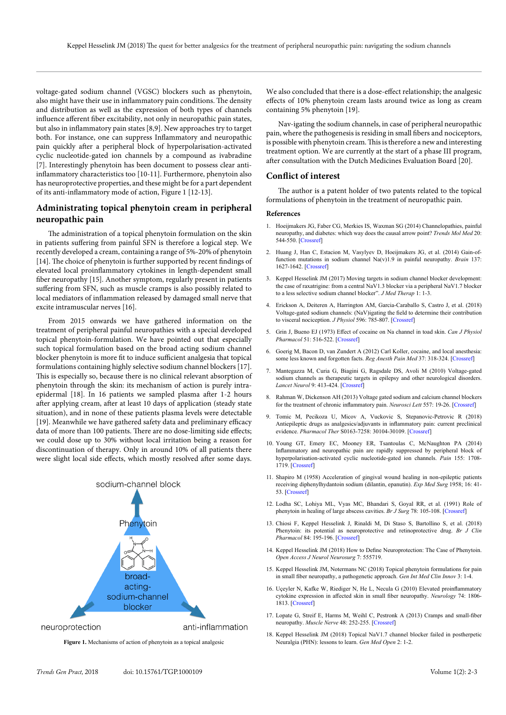voltage-gated sodium channel (VGSC) blockers such as phenytoin, also might have their use in inflammatory pain conditions. The density and distribution as well as the expression of both types of channels influence afferent fiber excitability, not only in neuropathic pain states, but also in inflammatory pain states [8,9]. New approaches try to target both. For instance, one can suppress Inflammatory and neuropathic pain quickly after a peripheral block of hyperpolarisation-activated cyclic nucleotide-gated ion channels by a compound as ivabradine [7]. Interestingly phenytoin has been document to possess clear antiinflammatory characteristics too [10-11]. Furthermore, phenytoin also has neuroprotective properties, and these might be for a part dependent of its anti-inflammatory mode of action, Figure 1 [12-13].

## **Administrating topical phenytoin cream in peripheral neuropathic pain**

The administration of a topical phenytoin formulation on the skin in patients suffering from painful SFN is therefore a logical step. We recently developed a cream, containing a range of 5%-20% of phenytoin [14]. The choice of phenytoin is further supported by recent findings of elevated local proinflammatory cytokines in length-dependent small fiber neuropathy [15]. Another symptom, regularly present in patients suffering from SFN, such as muscle cramps is also possibly related to local mediators of inflammation released by damaged small nerve that excite intramuscular nerves [16].

From 2015 onwards we have gathered information on the treatment of peripheral painful neuropathies with a special developed topical phenytoin-formulation. We have pointed out that especially such topical formulation based on the broad acting sodium channel blocker phenytoin is more fit to induce sufficient analgesia that topical formulations containing highly selective sodium channel blockers [17]. This is especially so, because there is no clinical relevant absorption of phenytoin through the skin: its mechanism of action is purely intraepidermal [18]. In 16 patients we sampled plasma after 1-2 hours after applying cream, after at least 10 days of application (steady state situation), and in none of these patients plasma levels were detectable [19]. Meanwhile we have gathered safety data and preliminary efficacy data of more than 100 patients. There are no dose-limiting side effects; we could dose up to 30% without local irritation being a reason for discontinuation of therapy. Only in around 10% of all patients there were slight local side effects, which mostly resolved after some days.



**Figure 1.** Mechanisms of action of phenytoin as a topical analgesic Neuralgia (PHN): lessons to learn. *Gen Med Open* 2: 1-2.

We also concluded that there is a dose-effect relationship; the analgesic effects of 10% phenytoin cream lasts around twice as long as cream containing 5% phenytoin [19].

Nav-igating the sodium channels, in case of peripheral neuropathic pain, where the pathogenesis is residing in small fibers and nociceptors, is possible with phenytoin cream. This is therefore a new and interesting treatment option. We are currently at the start of a phase III program, after consultation with the Dutch Medicines Evaluation Board [20].

#### **Conflict of interest**

The author is a patent holder of two patents related to the topical formulations of phenytoin in the treatment of neuropathic pain.

#### **References**

- 1. Hoeijmakers JG, Faber CG, Merkies IS, Waxman SG (2014) Channelopathies, painful neuropathy, and diabetes: which way does the causal arrow point? *Trends Mol Med* 20: 544-550. [\[Crossref\]](http://www.ncbi.nlm.nih.gov/pubmed/25008557)
- 2. Huang J, Han C, Estacion M, Vasylyev D, Hoeijmakers JG, et al. (2014) Gain-offunction mutations in sodium channel Na(v)1.9 in painful neuropathy. *Brain* 137: 1627-1642. [\[Crossref\]](http://www.ncbi.nlm.nih.gov/pubmed/24776970)
- 3. Keppel Hesselink JM (2017) Moving targets in sodium channel blocker development: the case of raxatrigine: from a central NaV1.3 blocker via a peripheral NaV1.7 blocker to a less selective sodium channel blocker". *J Med Therap* 1: 1-3.
- 4. Erickson A, Deiteren A, Harrington AM, Garcia-Caraballo S, Castro J, et al. (2018) Voltage-gated sodium channels: (NaV)igating the field to determine their contribution to visceral nociception. *J Physiol* 596: 785-807. [\[Crossref\]](https://www.ncbi.nlm.nih.gov/pubmed/29318638)
- 5. Grin J, Bueno EJ (1973) Effect of cocaine on Na channel in toad skin. *Can J Physiol Pharmacol* 51: 516-522. [\[Crossref\]](http://www.ncbi.nlm.nih.gov/pubmed/4199808)
- 6. Goerig M, Bacon D, van Zundert A (2012) Carl Koller, cocaine, and local anesthesia: some less known and forgotten facts. *Reg Anesth Pain Med* 37: 318-324. [\[Crossref\]](http://www.ncbi.nlm.nih.gov/pubmed/22531385)
- 7. Mantegazza M, Curia G, Biagini G, Ragsdale DS, Avoli M (2010) Voltage-gated sodium channels as therapeutic targets in epilepsy and other neurological disorders. *Lancet Neurol* 9: 413-424. [\[Crossref\]](https://www.ncbi.nlm.nih.gov/pubmed/20298965)
- 8. Rahman W, Dickenson AH (2013) Voltage gated sodium and calcium channel blockers for the treatment of chronic inflammatory pain. *Neurosci Lett* 557: 19-26. [\[Crossref\]](https://www.ncbi.nlm.nih.gov/pubmed/23941888)
- 9. Tomic M, Pecikoza U, Micov A, Vuckovic S, Stepanovic-Petrovic R (2018) Antiepileptic drugs as analgesics/adjuvants in inflammatory pain: current preclinical evidence. *Pharmacol Ther* S0163-7258: 30104-30109. [\[Crossref\]](https://www.ncbi.nlm.nih.gov/pubmed/29909236)
- 10. Young GT, Emery EC, Mooney ER, Tsantoulas C, McNaughton PA (2014) Inflammatory and neuropathic pain are rapidly suppressed by peripheral block of hyperpolarisation-activated cyclic nucleotide-gated ion channels. *Pain* 155: 1708- 1719. [\[Crossref\]](http://www.ncbi.nlm.nih.gov/pubmed/24861581)
- 11. Shapiro M (1958) Acceleration of gingival wound healing in non-epileptic patients receiving diphenylhydantoin sodium (dilantin, epanutin). *Exp Med Surg* 1958; 16: 41- 53. [\[Crossref\]](https://www.ncbi.nlm.nih.gov/pubmed/13537920)
- 12. Lodha SC, Lohiya ML, Vyas MC, Bhandari S, Goyal RR, et al. (1991) Role of phenytoin in healing of large abscess cavities. *Br J Surg* 78: 105-108. [\[Crossref\]](http://www.ncbi.nlm.nih.gov/pubmed/1998849)
- 13. Chiosi F, Keppel Hesselink J, Rinaldi M, Di Staso S, Bartollino S, et al. (2018) Phenytoin: its potential as neuroprotective and retinoprotective drug. *Br J Clin Pharmacol* 84: 195-196. [\[Crossref\]](http://www.ncbi.nlm.nih.gov/pubmed/29027243)
- 14. Keppel Hesselink JM (2018) How to Define Neuroprotection: The Case of Phenytoin. *Open Access J Neurol Neurosurg* 7: 555719.
- 15. Keppel Hesselink JM, Notermans NC (2018) Topical phenytoin formulations for pain in small fiber neuropathy, a pathogenetic approach. *Gen Int Med Clin Innov* 3: 1-4.
- 16. Uçeyler N, Kafke W, Riediger N, He L, Necula G (2010) Elevated proinflammatory cytokine expression in affected skin in small fiber neuropathy. *Neurology* 74: 1806- 1813. [\[Crossref\]](https://www.ncbi.nlm.nih.gov/pubmed/20513817)
- 17. Lopate G, Streif E, Harms M, Weihl C, Pestronk A (2013) Cramps and small-fiber neuropathy. *Muscle Nerve* 48: 252-255. [\[Crossref\]](http://www.ncbi.nlm.nih.gov/pubmed/23813593)
- 18. Keppel Hesselink JM (2018) Topical NaV1.7 channel blocker failed in postherpetic